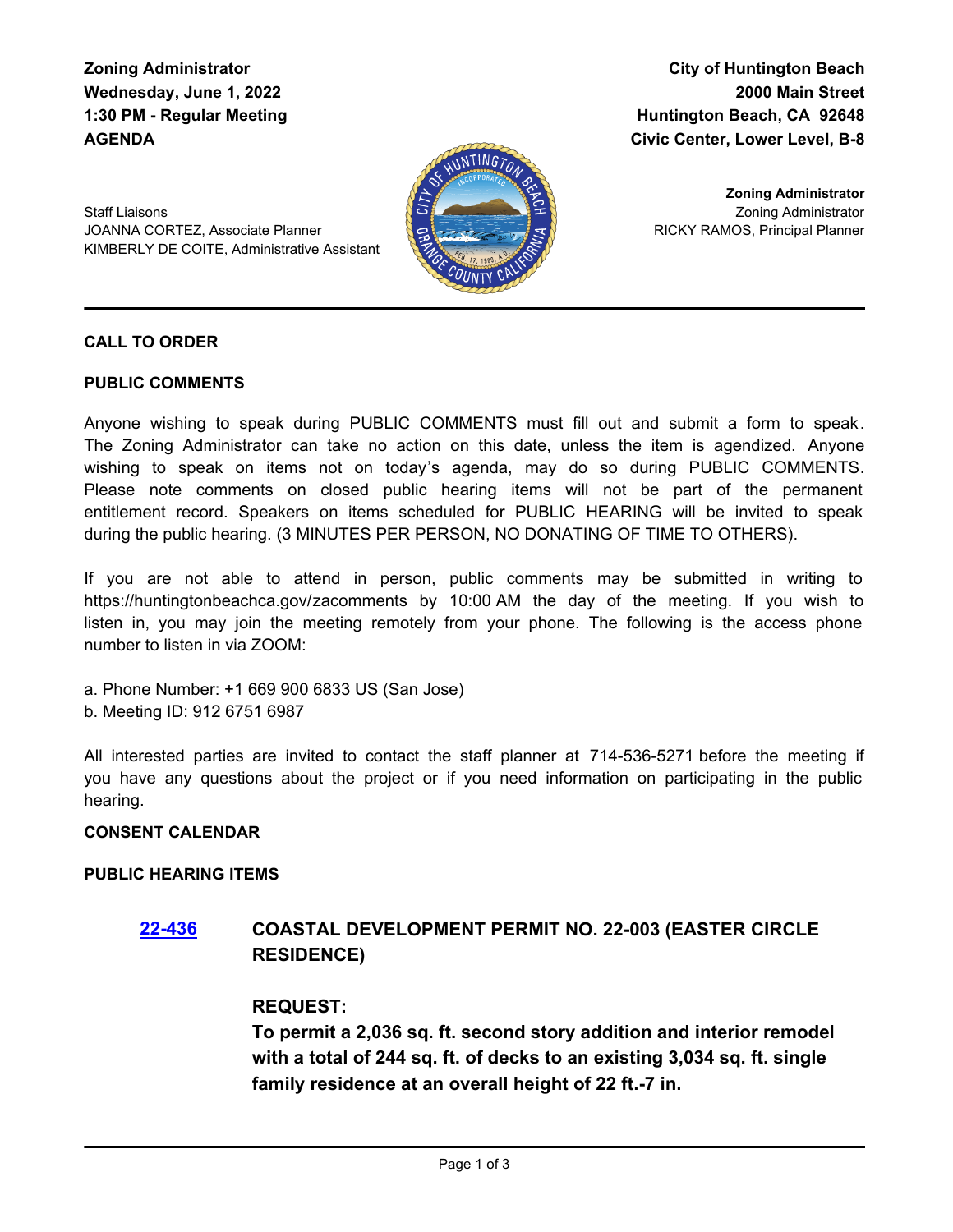**Zoning Administrator Wednesday, June 1, 2022 1:30 PM - Regular Meeting AGENDA**

**City of Huntington Beach 2000 Main Street Huntington Beach, CA 92648 Civic Center, Lower Level, B-8**

Staff Liaisons JOANNA CORTEZ, Associate Planner KIMBERLY DE COITE, Administrative Assistant



Zoning Administrator RICKY RAMOS, Principal Planner **Zoning Administrator**

#### **CALL TO ORDER**

#### **PUBLIC COMMENTS**

Anyone wishing to speak during PUBLIC COMMENTS must fill out and submit a form to speak. The Zoning Administrator can take no action on this date, unless the item is agendized. Anyone wishing to speak on items not on today's agenda, may do so during PUBLIC COMMENTS. Please note comments on closed public hearing items will not be part of the permanent entitlement record. Speakers on items scheduled for PUBLIC HEARING will be invited to speak during the public hearing. (3 MINUTES PER PERSON, NO DONATING OF TIME TO OTHERS).

If you are not able to attend in person, public comments may be submitted in writing to https://huntingtonbeachca.gov/zacomments by 10:00 AM the day of the meeting. If you wish to listen in, you may join the meeting remotely from your phone. The following is the access phone number to listen in via ZOOM:

a. Phone Number: +1 669 900 6833 US (San Jose)

b. Meeting ID: 912 6751 6987

All interested parties are invited to contact the staff planner at 714-536-5271 before the meeting if you have any questions about the project or if you need information on participating in the public hearing.

#### **CONSENT CALENDAR**

#### **PUBLIC HEARING ITEMS**

# **[22-436](http://huntingtonbeach.legistar.com/gateway.aspx?m=l&id=/matter.aspx?key=5548) COASTAL DEVELOPMENT PERMIT NO. 22-003 (EASTER CIRCLE RESIDENCE)**

#### **REQUEST:**

**To permit a 2,036 sq. ft. second story addition and interior remodel with a total of 244 sq. ft. of decks to an existing 3,034 sq. ft. single family residence at an overall height of 22 ft.-7 in.**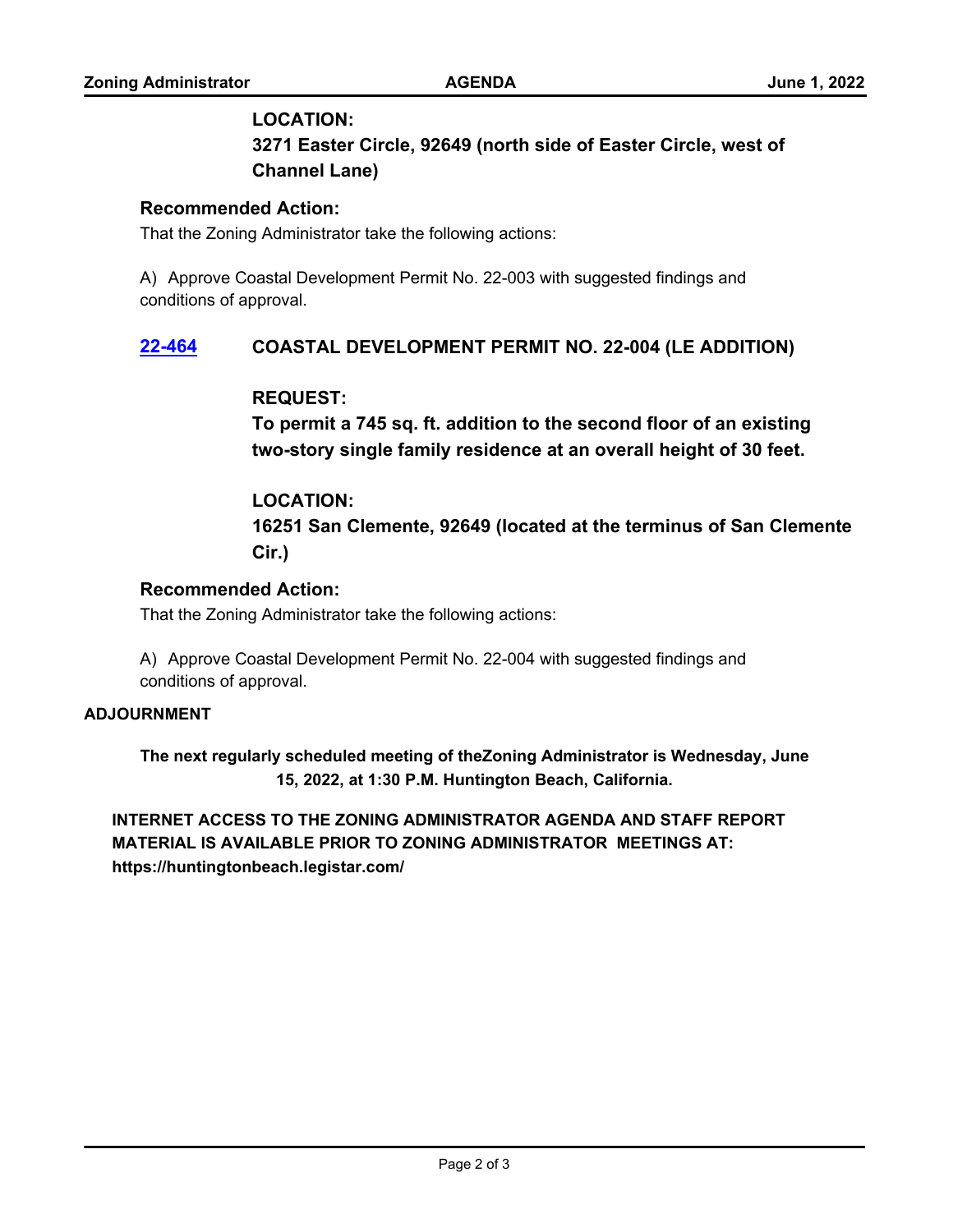#### **LOCATION:**

**3271 Easter Circle, 92649 (north side of Easter Circle, west of Channel Lane)**

### **Recommended Action:**

That the Zoning Administrator take the following actions:

A) Approve Coastal Development Permit No. 22-003 with suggested findings and conditions of approval.

# **[22-464](http://huntingtonbeach.legistar.com/gateway.aspx?m=l&id=/matter.aspx?key=5576) COASTAL DEVELOPMENT PERMIT NO. 22-004 (LE ADDITION)**

# **REQUEST:**

**To permit a 745 sq. ft. addition to the second floor of an existing two-story single family residence at an overall height of 30 feet.**

# **LOCATION:**

**16251 San Clemente, 92649 (located at the terminus of San Clemente Cir.)**

# **Recommended Action:**

That the Zoning Administrator take the following actions:

A) Approve Coastal Development Permit No. 22-004 with suggested findings and conditions of approval.

#### **ADJOURNMENT**

**The next regularly scheduled meeting of theZoning Administrator is Wednesday, June 15, 2022, at 1:30 P.M. Huntington Beach, California.**

**INTERNET ACCESS TO THE ZONING ADMINISTRATOR AGENDA AND STAFF REPORT MATERIAL IS AVAILABLE PRIOR TO ZONING ADMINISTRATOR MEETINGS AT: https://huntingtonbeach.legistar.com/**